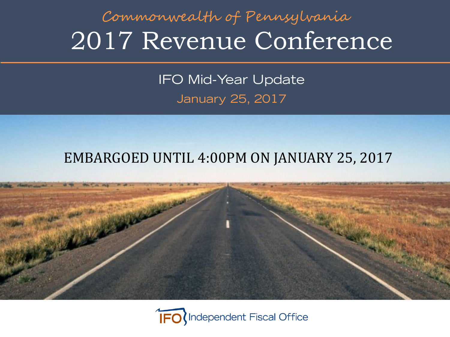#### 2017 Revenue Conference Commonwealth of Pennsylvania

IFO Mid-Year Update January 25, 2017

#### EMBARGOED UNTIL 4:00PM ON JANUARY 25, 2017



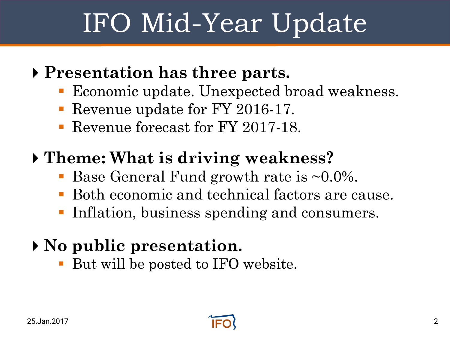# IFO Mid-Year Update

#### **Presentation has three parts.**

- Economic update. Unexpected broad weakness.
- Revenue update for FY 2016-17.
- Revenue forecast for FY 2017-18.

#### **Theme: What is driving weakness?**

- Base General Fund growth rate is  $\sim 0.0\%$ .
- Both economic and technical factors are cause.
- Inflation, business spending and consumers.

#### **No public presentation.**

But will be posted to IFO website.

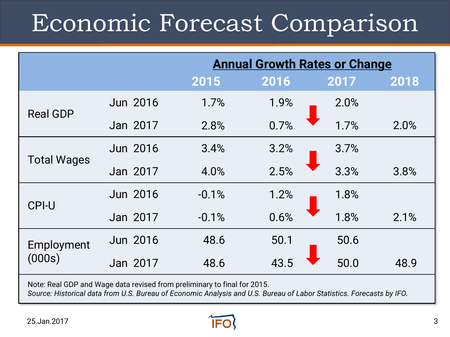### Economic Forecast Comparison

|                    |                                                                         |         | <b>Annual Growth Rates or Change</b> |      |      |
|--------------------|-------------------------------------------------------------------------|---------|--------------------------------------|------|------|
|                    |                                                                         | 2015    | 2016                                 | 2017 | 2018 |
| <b>Real GDP</b>    | <b>Jun 2016</b>                                                         | 1.7%    | 1.9%                                 | 2.0% |      |
|                    | Jan 2017                                                                | 2.8%    | 0.7%                                 | 1.7% | 2.0% |
|                    | Jun 2016                                                                | 3.4%    | 3.2%                                 | 3.7% |      |
| <b>Total Wages</b> | Jan 2017                                                                | 4.0%    | 2.5%                                 | 3.3% | 3.8% |
| <b>CPI-U</b>       | <b>Jun 2016</b>                                                         | $-0.1%$ | 1.2%                                 | 1.8% |      |
|                    | Jan 2017                                                                | $-0.1%$ | 0.6%                                 | 1.8% | 2.1% |
| Employment         | <b>Jun 2016</b>                                                         | 48.6    | 50.1                                 | 50.6 |      |
| (000s)             | Jan 2017                                                                | 48.6    | 43.5                                 | 50.0 | 48.9 |
|                    | Note: Real CDD and Wage data revieed from proliminary to final for 2015 |         |                                      |      |      |

Note: Real GDP and Wage data revised from preliminary to final for 2015. *Source: Historical data from U.S. Bureau of Economic Analysis and U.S. Bureau of Labor Statistics. Forecasts by IFO.*

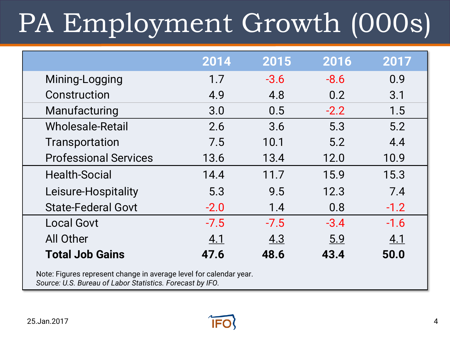# PA Employment Growth (000s)

|                                                                    | 2014       | 2015   | 2016   | 2017   |  |  |
|--------------------------------------------------------------------|------------|--------|--------|--------|--|--|
| Mining-Logging                                                     | 1.7        | $-3.6$ | $-8.6$ | 0.9    |  |  |
| Construction                                                       | 4.9        | 4.8    | 0.2    | 3.1    |  |  |
| Manufacturing                                                      | 3.0        | 0.5    | $-2.2$ | 1.5    |  |  |
| <b>Wholesale-Retail</b>                                            | 2.6        | 3.6    | 5.3    | 5.2    |  |  |
| Transportation                                                     | 7.5        | 10.1   | 5.2    | 4.4    |  |  |
| <b>Professional Services</b>                                       | 13.6       | 13.4   | 12.0   | 10.9   |  |  |
| <b>Health-Social</b>                                               | 14.4       | 11.7   | 15.9   | 15.3   |  |  |
| Leisure-Hospitality                                                | 5.3        | 9.5    | 12.3   | 7.4    |  |  |
| <b>State-Federal Govt</b>                                          | $-2.0$     | 1.4    | 0.8    | $-1.2$ |  |  |
| <b>Local Govt</b>                                                  | $-7.5$     | $-7.5$ | $-3.4$ | $-1.6$ |  |  |
| <b>All Other</b>                                                   | <u>4.1</u> | 4.3    | 5.9    | 4.1    |  |  |
| <b>Total Job Gains</b>                                             | 47.6       | 48.6   | 43.4   | 50.0   |  |  |
| Note: Figures represent change in average level for calendar year. |            |        |        |        |  |  |

*Source: U.S. Bureau of Labor Statistics. Forecast by IFO.*

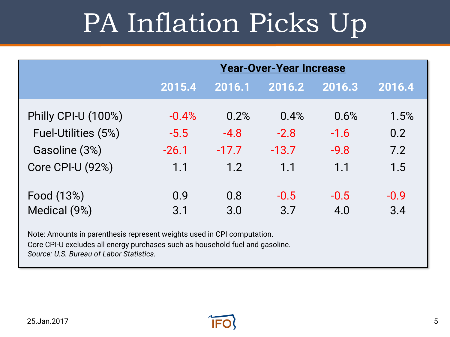# PA Inflation Picks Up

|                                                                         | <b>Year-Over-Year Increase</b> |         |         |        |        |  |  |
|-------------------------------------------------------------------------|--------------------------------|---------|---------|--------|--------|--|--|
|                                                                         | 2015.4                         | 2016.1  | 2016.2  | 2016.3 | 2016.4 |  |  |
| Philly CPI-U (100%)                                                     | $-0.4%$                        | 0.2%    | 0.4%    | 0.6%   | 1.5%   |  |  |
| Fuel-Utilities (5%)                                                     | $-5.5$                         | $-4.8$  | $-2.8$  | $-1.6$ | 0.2    |  |  |
| Gasoline (3%)                                                           | $-26.1$                        | $-17.7$ | $-13.7$ | $-9.8$ | 7.2    |  |  |
| <b>Core CPI-U (92%)</b>                                                 | 1.1                            | 1.2     | 1.1     | 1.1    | 1.5    |  |  |
| Food (13%)                                                              | 0.9                            | 0.8     | $-0.5$  | $-0.5$ | $-0.9$ |  |  |
| Medical (9%)                                                            | 3.1                            | 3.0     | 3.7     | 4.0    | 3.4    |  |  |
| Note: Amounts in parenthesis represent weights used in CPI computation. |                                |         |         |        |        |  |  |

Core CPI-U excludes all energy purchases such as household fuel and gasoline.

*Source: U.S. Bureau of Labor Statistics.*

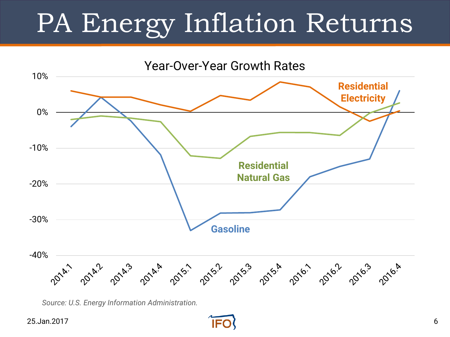# PA Energy Inflation Returns

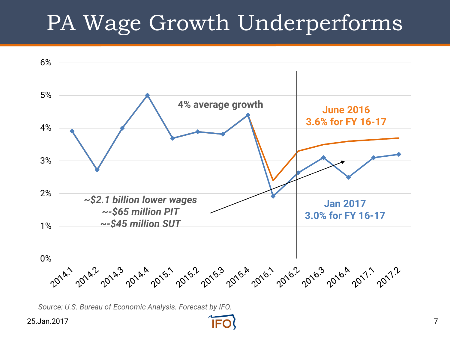#### PA Wage Growth Underperforms



25.Jan.2017 7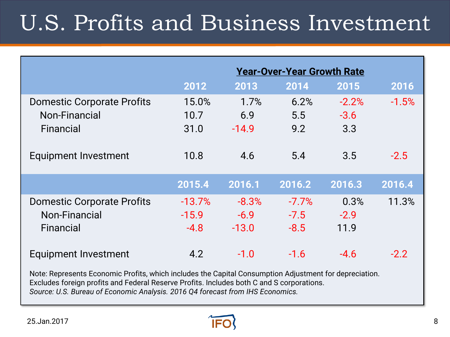### U.S. Profits and Business Investment

|                                                                 |                               |                              | <b>Year-Over-Year Growth Rate</b> |                          |         |
|-----------------------------------------------------------------|-------------------------------|------------------------------|-----------------------------------|--------------------------|---------|
|                                                                 | 2012                          | 2013                         | 2014                              | 2015                     | 2016    |
| <b>Domestic Corporate Profits</b><br>Non-Financial<br>Financial | 15.0%<br>10.7<br>31.0         | 1.7%<br>6.9<br>$-14.9$       | 6.2%<br>5.5<br>9.2                | $-2.2%$<br>$-3.6$<br>3.3 | $-1.5%$ |
| <b>Equipment Investment</b>                                     | 10.8                          | 4.6                          | 5.4                               | 3.5                      | $-2.5$  |
|                                                                 | 2015.4                        | 2016.1                       | 2016.2                            | 2016.3                   | 2016.4  |
| <b>Domestic Corporate Profits</b><br>Non-Financial<br>Financial | $-13.7%$<br>$-15.9$<br>$-4.8$ | $-8.3%$<br>$-6.9$<br>$-13.0$ | $-7.7%$<br>$-7.5$<br>$-8.5$       | 0.3%<br>$-2.9$<br>11.9   | 11.3%   |
| <b>Equipment Investment</b>                                     | 4.2                           | $-1.0$                       | $-1.6$                            | $-4.6$                   | $-2.2$  |

Note: Represents Economic Profits, which includes the Capital Consumption Adjustment for depreciation. Excludes foreign profits and Federal Reserve Profits. Includes both C and S corporations. *Source: U.S. Bureau of Economic Analysis. 2016 Q4 forecast from IHS Economics.*

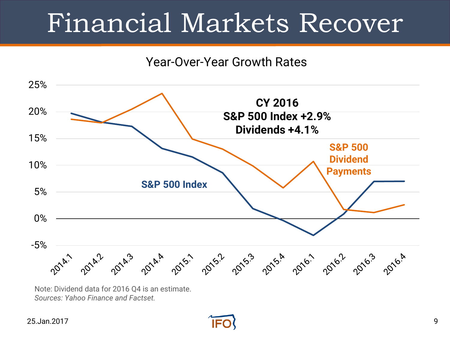## Financial Markets Recover

#### Year-Over-Year Growth Rates



Note: Dividend data for 2016 Q4 is an estimate. *Sources: Yahoo Finance and Factset.*

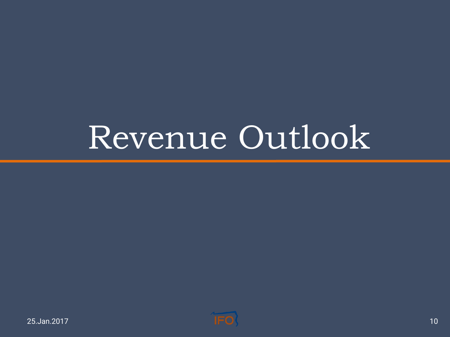# Revenue Outlook

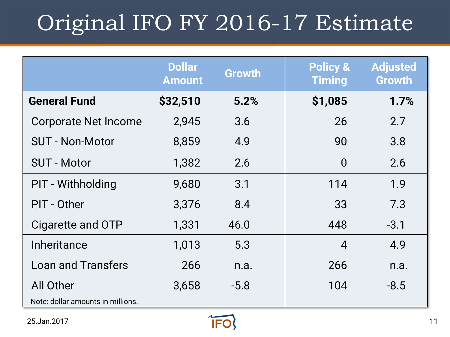### Original IFO FY 2016-17 Estimate

|                                   | <b>Dollar</b><br><b>Amount</b> | <b>Growth</b> | <b>Policy &amp;</b><br><b>Timing</b> | <b>Adjusted</b><br><b>Growth</b> |
|-----------------------------------|--------------------------------|---------------|--------------------------------------|----------------------------------|
| <b>General Fund</b>               | \$32,510                       | 5.2%          | \$1,085                              | 1.7%                             |
| <b>Corporate Net Income</b>       | 2,945                          | 3.6           | 26                                   | 2.7                              |
| <b>SUT - Non-Motor</b>            | 8,859                          | 4.9           | 90                                   | 3.8                              |
| <b>SUT - Motor</b>                | 1,382                          | 2.6           | $\overline{0}$                       | 2.6                              |
| <b>PIT - Withholding</b>          | 9,680                          | 3.1           | 114                                  | 1.9                              |
| PIT - Other                       | 3,376                          | 8.4           | 33                                   | 7.3                              |
| Cigarette and OTP                 | 1,331                          | 46.0          | 448                                  | $-3.1$                           |
| Inheritance                       | 1,013                          | 5.3           | $\overline{4}$                       | 4.9                              |
| <b>Loan and Transfers</b>         | 266                            | n.a.          | 266                                  | n.a.                             |
| All Other                         | 3,658                          | $-5.8$        | 104                                  | $-8.5$                           |
| Note: dollar amounts in millions. |                                |               |                                      |                                  |

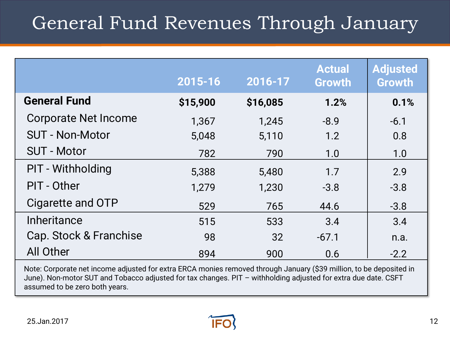#### General Fund Revenues Through January

|                             | 2015-16  | 2016-17  | <b>Actual</b><br><b>Growth</b> | <b>Adjusted</b><br><b>Growth</b> |
|-----------------------------|----------|----------|--------------------------------|----------------------------------|
| <b>General Fund</b>         | \$15,900 | \$16,085 | 1.2%                           | 0.1%                             |
| <b>Corporate Net Income</b> | 1,367    | 1,245    | $-8.9$                         | $-6.1$                           |
| <b>SUT - Non-Motor</b>      | 5,048    | 5,110    | 1.2                            | 0.8                              |
| <b>SUT - Motor</b>          | 782      | 790      | 1.0                            | 1.0                              |
| <b>PIT - Withholding</b>    | 5,388    | 5,480    | 1.7                            | 2.9                              |
| PIT - Other                 | 1,279    | 1,230    | $-3.8$                         | $-3.8$                           |
| Cigarette and OTP           | 529      | 765      | 44.6                           | $-3.8$                           |
| Inheritance                 | 515      | 533      | 3.4                            | 3.4                              |
| Cap. Stock & Franchise      | 98       | 32       | $-67.1$                        | n.a.                             |
| <b>All Other</b>            | 894      | 900      | 0.6                            | $-2.2$                           |

Note: Corporate net income adjusted for extra ERCA monies removed through January (\$39 million, to be deposited in June). Non-motor SUT and Tobacco adjusted for tax changes. PIT – withholding adjusted for extra due date. CSFT assumed to be zero both years.

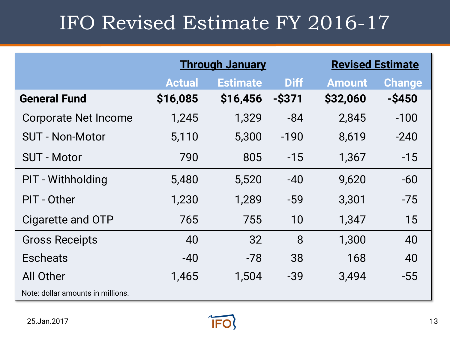#### IFO Revised Estimate FY 2016-17

|                                   |               | <b>Through January</b> | <b>Revised Estimate</b> |               |               |
|-----------------------------------|---------------|------------------------|-------------------------|---------------|---------------|
|                                   | <b>Actual</b> | <b>Estimate</b>        | <b>Diff</b>             | <b>Amount</b> | <b>Change</b> |
| <b>General Fund</b>               | \$16,085      | \$16,456               | $-$ \$371               | \$32,060      | $-$ \$450     |
| <b>Corporate Net Income</b>       | 1,245         | 1,329                  | -84                     | 2,845         | $-100$        |
| <b>SUT - Non-Motor</b>            | 5,110         | 5,300                  | $-190$                  | 8,619         | $-240$        |
| <b>SUT - Motor</b>                | 790           | 805                    | $-15$                   | 1,367         | $-15$         |
| <b>PIT - Withholding</b>          | 5,480         | 5,520                  | $-40$                   | 9,620         | $-60$         |
| PIT - Other                       | 1,230         | 1,289                  | $-59$                   | 3,301         | $-75$         |
| Cigarette and OTP                 | 765           | 755                    | 10                      | 1,347         | 15            |
| <b>Gross Receipts</b>             | 40            | 32                     | 8                       | 1,300         | 40            |
| <b>Escheats</b>                   | $-40$         | $-78$                  | 38                      | 168           | 40            |
| All Other                         | 1,465         | 1,504                  | $-39$                   | 3,494         | $-55$         |
| Note: dollar amounts in millions. |               |                        |                         |               |               |

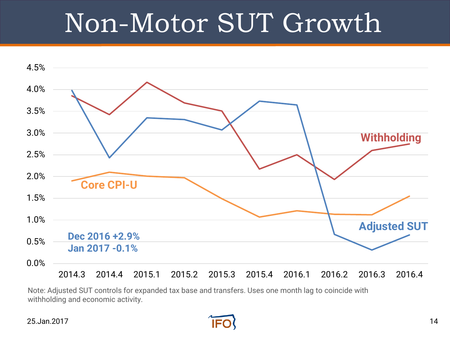# Non-Motor SUT Growth



Note: Adjusted SUT controls for expanded tax base and transfers. Uses one month lag to coincide with withholding and economic activity.

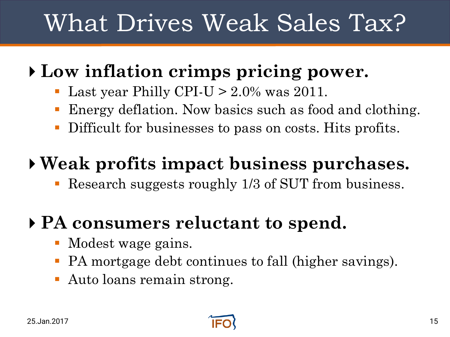### What Drives Weak Sales Tax?

#### **Low inflation crimps pricing power.**

- Last year Philly CPI-U  $> 2.0\%$  was 2011.
- Energy deflation. Now basics such as food and clothing.
- Difficult for businesses to pass on costs. Hits profits.

#### **Weak profits impact business purchases.**

Research suggests roughly 1/3 of SUT from business.

#### **PA consumers reluctant to spend.**

- Modest wage gains.
- PA mortgage debt continues to fall (higher savings).
- Auto loans remain strong.

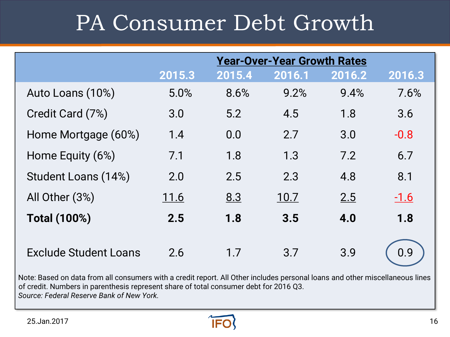### PA Consumer Debt Growth

|                              |        |        | <b>Year-Over-Year Growth Rates</b> |        |        |
|------------------------------|--------|--------|------------------------------------|--------|--------|
|                              | 2015.3 | 2015.4 | 2016.1                             | 2016.2 | 2016.3 |
| Auto Loans (10%)             | 5.0%   | 8.6%   | 9.2%                               | 9.4%   | 7.6%   |
| Credit Card (7%)             | 3.0    | 5.2    | 4.5                                | 1.8    | 3.6    |
| Home Mortgage (60%)          | 1.4    | 0.0    | 2.7                                | 3.0    | $-0.8$ |
| Home Equity (6%)             | 7.1    | 1.8    | 1.3                                | 7.2    | 6.7    |
| Student Loans (14%)          | 2.0    | 2.5    | 2.3                                | 4.8    | 8.1    |
| All Other (3%)               | 11.6   | 8.3    | 10.7                               | 2.5    | $-1.6$ |
| <b>Total (100%)</b>          | 2.5    | 1.8    | 3.5                                | 4.0    | 1.8    |
| <b>Exclude Student Loans</b> | 2.6    | 1.7    | 3.7                                | 3.9    | 0.9    |

Note: Based on data from all consumers with a credit report. All Other includes personal loans and other miscellaneous lines of credit. Numbers in parenthesis represent share of total consumer debt for 2016 Q3. *Source: Federal Reserve Bank of New York.*

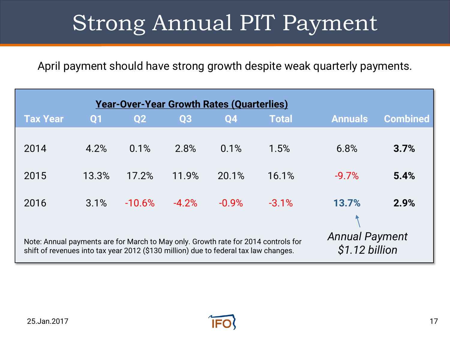### Strong Annual PIT Payment

April payment should have strong growth despite weak quarterly payments.

| <b>Year-Over-Year Growth Rates (Quarterlies)</b>                                                                                                                                                                      |       |                |         |           |              |                |                 |  |
|-----------------------------------------------------------------------------------------------------------------------------------------------------------------------------------------------------------------------|-------|----------------|---------|-----------|--------------|----------------|-----------------|--|
| <b>Tax Year</b>                                                                                                                                                                                                       | Q1    | Q <sub>2</sub> | Q3      | <b>Q4</b> | <b>Total</b> | <b>Annuals</b> | <b>Combined</b> |  |
| 2014                                                                                                                                                                                                                  | 4.2%  | 0.1%           | 2.8%    | 0.1%      | 1.5%         | 6.8%           | 3.7%            |  |
| 2015                                                                                                                                                                                                                  | 13.3% | 17.2%          | 11.9%   | 20.1%     | 16.1%        | $-9.7%$        | 5.4%            |  |
| 2016                                                                                                                                                                                                                  | 3.1%  | $-10.6%$       | $-4.2%$ | $-0.9%$   | $-3.1%$      | 13.7%          | 2.9%            |  |
| <b>Annual Payment</b><br>Note: Annual payments are for March to May only. Growth rate for 2014 controls for<br>\$1.12 billion<br>shift of revenues into tax year 2012 (\$130 million) due to federal tax law changes. |       |                |         |           |              |                |                 |  |

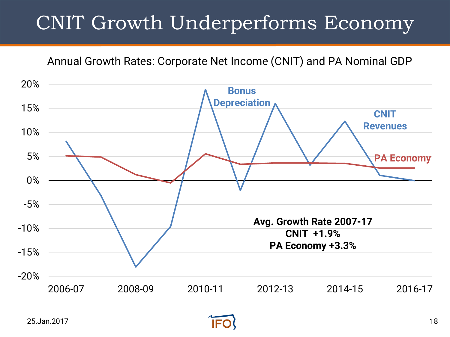#### CNIT Growth Underperforms Economy

Annual Growth Rates: Corporate Net Income (CNIT) and PA Nominal GDP



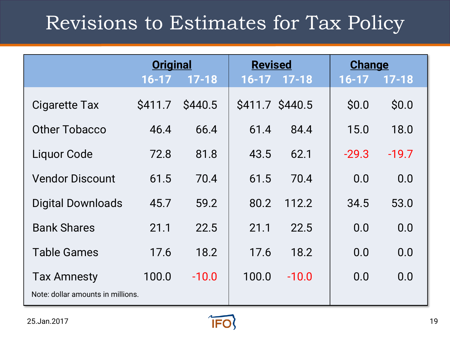#### Revisions to Estimates for Tax Policy

|                                   | <b>Original</b> |           | <b>Revised</b>  |           | <b>Change</b> |           |
|-----------------------------------|-----------------|-----------|-----------------|-----------|---------------|-----------|
|                                   | $16 - 17$       | $17 - 18$ | $16 - 17$       | $17 - 18$ | $16 - 17$     | $17 - 18$ |
| <b>Cigarette Tax</b>              | <b>S411.7</b>   | \$440.5   | \$411.7 \$440.5 |           | \$0.0         | \$0.0     |
| Other Tobacco                     | 46.4            | 66.4      | 61.4            | 84.4      | 15.0          | 18.0      |
| <b>Liquor Code</b>                | 72.8            | 81.8      | 43.5            | 62.1      | $-29.3$       | $-19.7$   |
| <b>Vendor Discount</b>            | 61.5            | 70.4      | 61.5            | 70.4      | 0.0           | 0.0       |
| <b>Digital Downloads</b>          | 45.7            | 59.2      | 80.2            | 112.2     | 34.5          | 53.0      |
| <b>Bank Shares</b>                | 21.1            | 22.5      | 21.1            | 22.5      | 0.0           | 0.0       |
| <b>Table Games</b>                | 17.6            | 18.2      | 17.6            | 18.2      | 0.0           | 0.0       |
| <b>Tax Amnesty</b>                | 100.0           | $-10.0$   | 100.0           | $-10.0$   | 0.0           | 0.0       |
| Note: dollar amounts in millions. |                 |           |                 |           |               |           |

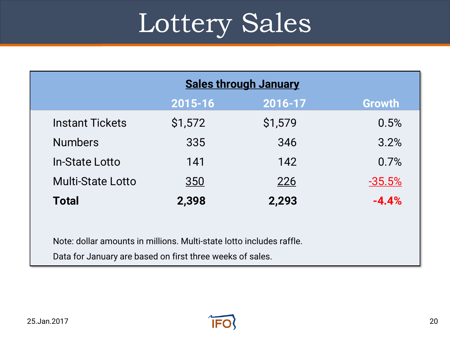# Lottery Sales

| <b>Sales through January</b> |            |         |          |  |  |  |
|------------------------------|------------|---------|----------|--|--|--|
|                              | 2015-16    | 2016-17 | Growth   |  |  |  |
| <b>Instant Tickets</b>       | \$1,572    | \$1,579 | 0.5%     |  |  |  |
| <b>Numbers</b>               | 335        | 346     | 3.2%     |  |  |  |
| In-State Lotto               | 141        | 142     | 0.7%     |  |  |  |
| <b>Multi-State Lotto</b>     | <u>350</u> | 226     | $-35.5%$ |  |  |  |
| <b>Total</b>                 | 2,398      | 2,293   | $-4.4%$  |  |  |  |

Note: dollar amounts in millions. Multi-state lotto includes raffle.

Data for January are based on first three weeks of sales.

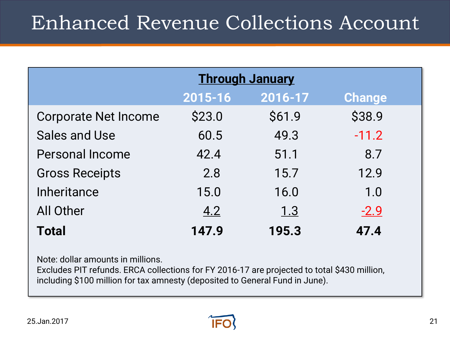#### Enhanced Revenue Collections Account

|                             | <b>Through January</b> |            |               |  |  |  |  |
|-----------------------------|------------------------|------------|---------------|--|--|--|--|
|                             | 2015-16                | 2016-17    | <b>Change</b> |  |  |  |  |
| <b>Corporate Net Income</b> | \$23.0                 | \$61.9     | \$38.9        |  |  |  |  |
| <b>Sales and Use</b>        | 60.5                   | 49.3       | $-11.2$       |  |  |  |  |
| <b>Personal Income</b>      | 42.4                   | 51.1       | 8.7           |  |  |  |  |
| <b>Gross Receipts</b>       | 2.8                    | 15.7       | 12.9          |  |  |  |  |
| <b>Inheritance</b>          | 15.0                   | 16.0       | 1.0           |  |  |  |  |
| <b>All Other</b>            | 4.2                    | <u>1.3</u> | $-2.9$        |  |  |  |  |
| <b>Total</b>                | 147.9                  | 195.3      | 47.4          |  |  |  |  |

Note: dollar amounts in millions.

Excludes PIT refunds. ERCA collections for FY 2016-17 are projected to total \$430 million, including \$100 million for tax amnesty (deposited to General Fund in June).

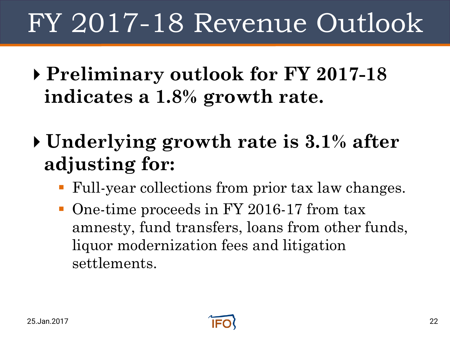# FY 2017-18 Revenue Outlook

- **Preliminary outlook for FY 2017-18 indicates a 1.8% growth rate.**
- **Underlying growth rate is 3.1% after adjusting for:**
	- Full-year collections from prior tax law changes.
	- One-time proceeds in FY 2016-17 from tax amnesty, fund transfers, loans from other funds, liquor modernization fees and litigation settlements.

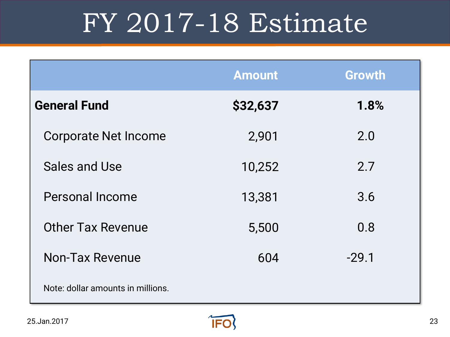# FY 2017-18 Estimate

|                                   | <b>Amount</b> | <b>Growth</b> |
|-----------------------------------|---------------|---------------|
| <b>General Fund</b>               | \$32,637      | 1.8%          |
| <b>Corporate Net Income</b>       | 2,901         | 2.0           |
| Sales and Use                     | 10,252        | 2.7           |
| <b>Personal Income</b>            | 13,381        | 3.6           |
| <b>Other Tax Revenue</b>          | 5,500         | 0.8           |
| <b>Non-Tax Revenue</b>            | 604           | $-29.1$       |
| Note: dollar amounts in millions. |               |               |

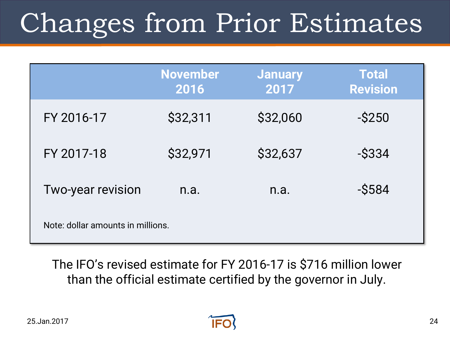# Changes from Prior Estimates

|                                   | <b>November</b><br>2016 | <b>January</b><br>2017 | <b>Total</b><br><b>Revision</b> |  |
|-----------------------------------|-------------------------|------------------------|---------------------------------|--|
| FY 2016-17                        | \$32,311                | \$32,060               | $-S250$                         |  |
| FY 2017-18                        | \$32,971                | \$32,637               | $-$ \$334                       |  |
| <b>Two-year revision</b>          | n.a.                    | n.a.                   | $ $584$                         |  |
| Note: dollar amounts in millions. |                         |                        |                                 |  |

The IFO's revised estimate for FY 2016-17 is \$716 million lower than the official estimate certified by the governor in July.